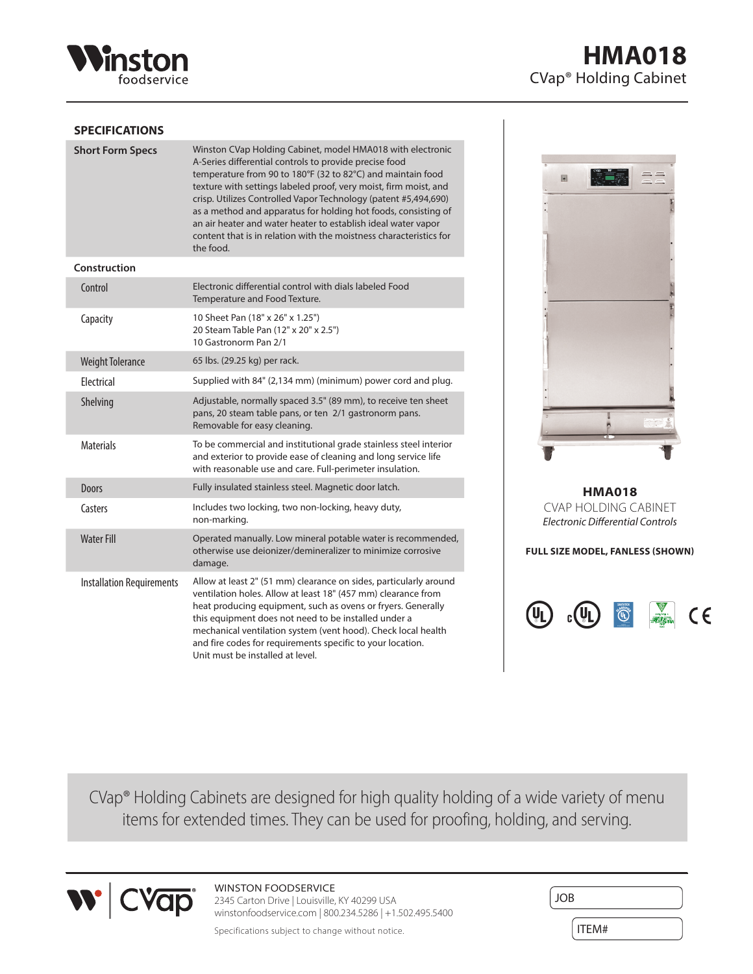

# **SPECIFICATIONS**

| <b>Short Form Specs</b>          | Winston CVap Holding Cabinet, model HMA018 with electronic<br>A-Series differential controls to provide precise food<br>temperature from 90 to 180°F (32 to 82°C) and maintain food<br>texture with settings labeled proof, very moist, firm moist, and<br>crisp. Utilizes Controlled Vapor Technology (patent #5,494,690)<br>as a method and apparatus for holding hot foods, consisting of<br>an air heater and water heater to establish ideal water vapor<br>content that is in relation with the moistness characteristics for<br>the food. |
|----------------------------------|--------------------------------------------------------------------------------------------------------------------------------------------------------------------------------------------------------------------------------------------------------------------------------------------------------------------------------------------------------------------------------------------------------------------------------------------------------------------------------------------------------------------------------------------------|
| Construction                     |                                                                                                                                                                                                                                                                                                                                                                                                                                                                                                                                                  |
| Control                          | Electronic differential control with dials labeled Food<br>Temperature and Food Texture.                                                                                                                                                                                                                                                                                                                                                                                                                                                         |
| Capacity                         | 10 Sheet Pan (18" x 26" x 1.25")<br>20 Steam Table Pan (12" x 20" x 2.5")<br>10 Gastronorm Pan 2/1                                                                                                                                                                                                                                                                                                                                                                                                                                               |
| <b>Weight Tolerance</b>          | 65 lbs. (29.25 kg) per rack.                                                                                                                                                                                                                                                                                                                                                                                                                                                                                                                     |
| <b>Flectrical</b>                | Supplied with 84" (2,134 mm) (minimum) power cord and plug.                                                                                                                                                                                                                                                                                                                                                                                                                                                                                      |
| Shelving                         | Adjustable, normally spaced 3.5" (89 mm), to receive ten sheet<br>pans, 20 steam table pans, or ten 2/1 gastronorm pans.<br>Removable for easy cleaning.                                                                                                                                                                                                                                                                                                                                                                                         |
| <b>Materials</b>                 | To be commercial and institutional grade stainless steel interior<br>and exterior to provide ease of cleaning and long service life<br>with reasonable use and care. Full-perimeter insulation.                                                                                                                                                                                                                                                                                                                                                  |
| <b>Doors</b>                     | Fully insulated stainless steel. Magnetic door latch.                                                                                                                                                                                                                                                                                                                                                                                                                                                                                            |
| Casters                          | Includes two locking, two non-locking, heavy duty,<br>non-marking.                                                                                                                                                                                                                                                                                                                                                                                                                                                                               |
| <b>Water Fill</b>                | Operated manually. Low mineral potable water is recommended,<br>otherwise use deionizer/demineralizer to minimize corrosive<br>damage.                                                                                                                                                                                                                                                                                                                                                                                                           |
| <b>Installation Requirements</b> | Allow at least 2" (51 mm) clearance on sides, particularly around<br>ventilation holes. Allow at least 18" (457 mm) clearance from<br>heat producing equipment, such as ovens or fryers. Generally<br>this equipment does not need to be installed under a<br>mechanical ventilation system (vent hood). Check local health<br>and fire codes for requirements specific to your location.<br>Unit must be installed at level.                                                                                                                    |

**HMA018** CVap® Holding Cabinet



**HMA018** CVAP HOLDING CABINET *Electronic Differential Controls*

**FULL SIZE MODEL, FANLESS (SHOWN)**



CVap® Holding Cabinets are designed for high quality holding of a wide variety of menu items for extended times. They can be used for proofing, holding, and serving.



# WINSTON FOODSERVICE

2345 Carton Drive | Louisville, KY 40299 USA winstonfoodservice.com | 800.234.5286 | +1.502.495.5400

Specifications subject to change without notice.

| <b>JOB</b> |  |
|------------|--|
|            |  |
| ITEM#      |  |